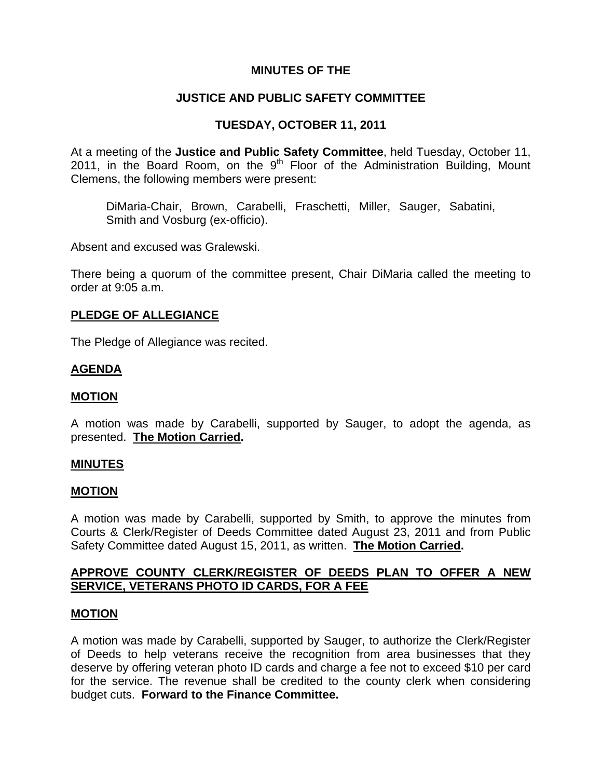# **MINUTES OF THE**

# **JUSTICE AND PUBLIC SAFETY COMMITTEE**

# **TUESDAY, OCTOBER 11, 2011**

At a meeting of the **Justice and Public Safety Committee**, held Tuesday, October 11, 2011, in the Board Room, on the  $9<sup>th</sup>$  Floor of the Administration Building, Mount Clemens, the following members were present:

DiMaria-Chair, Brown, Carabelli, Fraschetti, Miller, Sauger, Sabatini, Smith and Vosburg (ex-officio).

Absent and excused was Gralewski.

There being a quorum of the committee present, Chair DiMaria called the meeting to order at 9:05 a.m.

## **PLEDGE OF ALLEGIANCE**

The Pledge of Allegiance was recited.

## **AGENDA**

## **MOTION**

A motion was made by Carabelli, supported by Sauger, to adopt the agenda, as presented. **The Motion Carried.** 

### **MINUTES**

## **MOTION**

A motion was made by Carabelli, supported by Smith, to approve the minutes from Courts & Clerk/Register of Deeds Committee dated August 23, 2011 and from Public Safety Committee dated August 15, 2011, as written. **The Motion Carried.** 

# **APPROVE COUNTY CLERK/REGISTER OF DEEDS PLAN TO OFFER A NEW SERVICE, VETERANS PHOTO ID CARDS, FOR A FEE**

## **MOTION**

A motion was made by Carabelli, supported by Sauger, to authorize the Clerk/Register of Deeds to help veterans receive the recognition from area businesses that they deserve by offering veteran photo ID cards and charge a fee not to exceed \$10 per card for the service. The revenue shall be credited to the county clerk when considering budget cuts. **Forward to the Finance Committee.**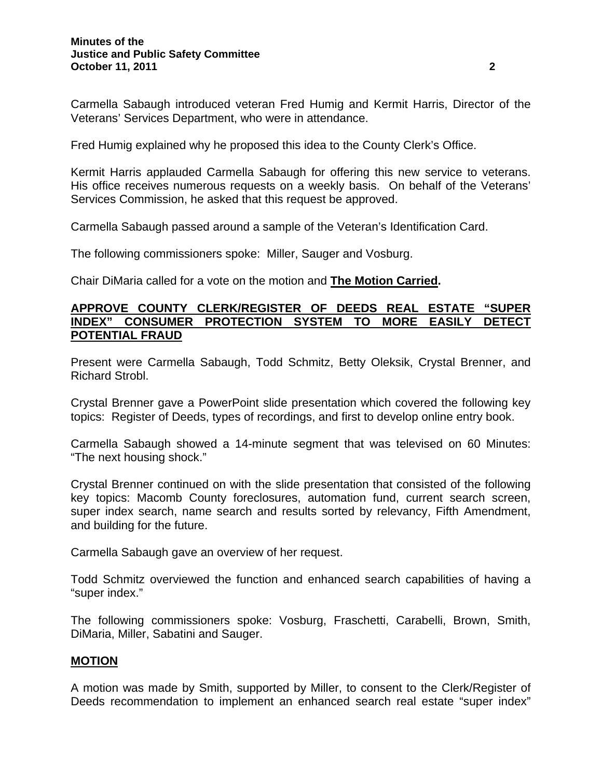Carmella Sabaugh introduced veteran Fred Humig and Kermit Harris, Director of the Veterans' Services Department, who were in attendance.

Fred Humig explained why he proposed this idea to the County Clerk's Office.

Kermit Harris applauded Carmella Sabaugh for offering this new service to veterans. His office receives numerous requests on a weekly basis. On behalf of the Veterans' Services Commission, he asked that this request be approved.

Carmella Sabaugh passed around a sample of the Veteran's Identification Card.

The following commissioners spoke: Miller, Sauger and Vosburg.

Chair DiMaria called for a vote on the motion and **The Motion Carried.** 

## **APPROVE COUNTY CLERK/REGISTER OF DEEDS REAL ESTATE "SUPER INDEX" CONSUMER PROTECTION SYSTEM TO MORE EASILY DETECT POTENTIAL FRAUD**

Present were Carmella Sabaugh, Todd Schmitz, Betty Oleksik, Crystal Brenner, and Richard Strobl.

Crystal Brenner gave a PowerPoint slide presentation which covered the following key topics: Register of Deeds, types of recordings, and first to develop online entry book.

Carmella Sabaugh showed a 14-minute segment that was televised on 60 Minutes: "The next housing shock."

Crystal Brenner continued on with the slide presentation that consisted of the following key topics: Macomb County foreclosures, automation fund, current search screen, super index search, name search and results sorted by relevancy, Fifth Amendment, and building for the future.

Carmella Sabaugh gave an overview of her request.

Todd Schmitz overviewed the function and enhanced search capabilities of having a "super index."

The following commissioners spoke: Vosburg, Fraschetti, Carabelli, Brown, Smith, DiMaria, Miller, Sabatini and Sauger.

## **MOTION**

A motion was made by Smith, supported by Miller, to consent to the Clerk/Register of Deeds recommendation to implement an enhanced search real estate "super index"